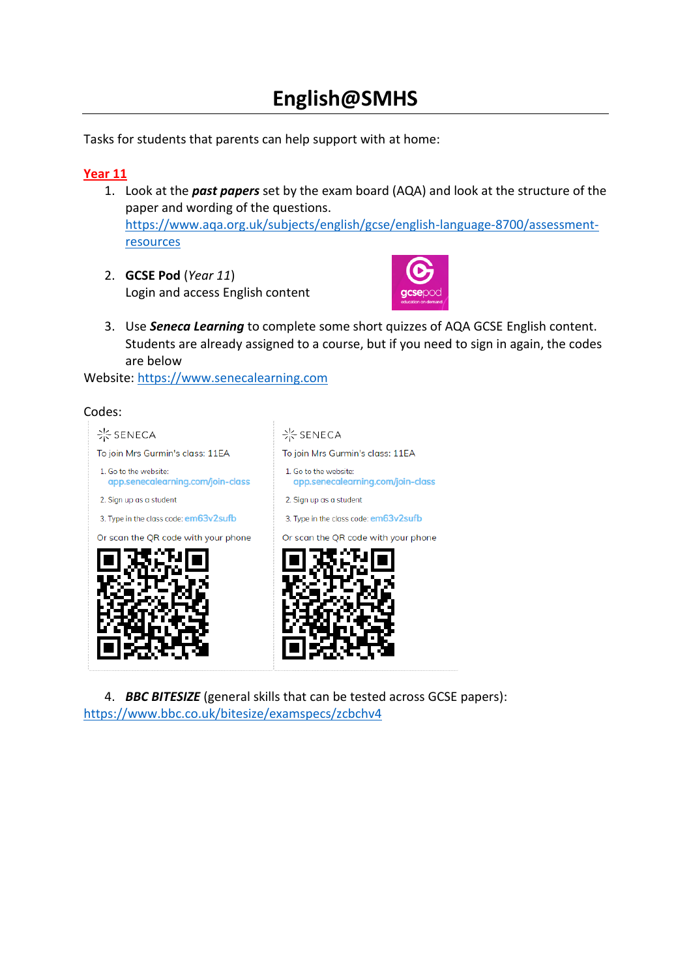# **English@SMHS**

Tasks for students that parents can help support with at home:

## **Year 11**

- 1. Look at the *past papers* set by the exam board (AQA) and look at the structure of the paper and wording of the questions. [https://www.aqa.org.uk/subjects/english/gcse/english-language-8700/assessment](https://www.aqa.org.uk/subjects/english/gcse/english-language-8700/assessment-resources)[resources](https://www.aqa.org.uk/subjects/english/gcse/english-language-8700/assessment-resources)
- 2. **GCSE Pod** (*Year 11*) Login and access English content



3. Use *Seneca Learning* to complete some short quizzes of AQA GCSE English content. Students are already assigned to a course, but if you need to sign in again, the codes are below

Website: [https://www.senecalearning.com](https://www.senecalearning.com/)

### Codes:



4. *BBC BITESIZE* (general skills that can be tested across GCSE papers): <https://www.bbc.co.uk/bitesize/examspecs/zcbchv4>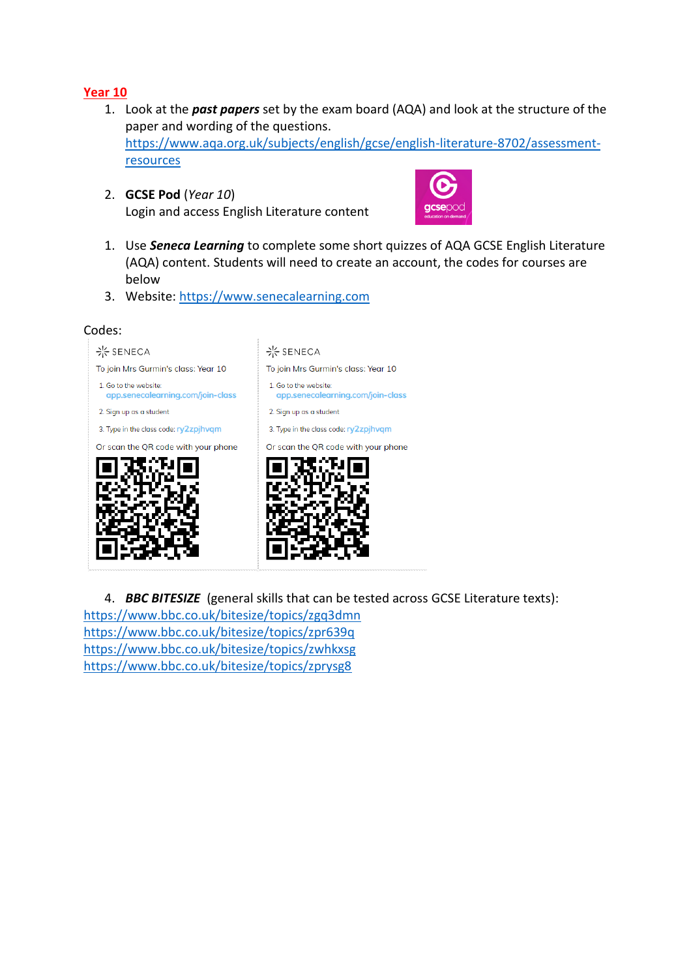- 1. Look at the *past papers* set by the exam board (AQA) and look at the structure of the paper and wording of the questions. [https://www.aqa.org.uk/subjects/english/gcse/english-literature-8702/assessment](https://www.aqa.org.uk/subjects/english/gcse/english-literature-8702/assessment-resources)[resources](https://www.aqa.org.uk/subjects/english/gcse/english-literature-8702/assessment-resources)
- 2. **GCSE Pod** (*Year 10*) Login and access English Literature content



- 1. Use *Seneca Learning* to complete some short quizzes of AQA GCSE English Literature (AQA) content. Students will need to create an account, the codes for courses are below
- 3. Website: [https://www.senecalearning.com](https://www.senecalearning.com/)

#### Codes:



4. *BBC BITESIZE* (general skills that can be tested across GCSE Literature texts): <https://www.bbc.co.uk/bitesize/topics/zgq3dmn> <https://www.bbc.co.uk/bitesize/topics/zpr639q> <https://www.bbc.co.uk/bitesize/topics/zwhkxsg> <https://www.bbc.co.uk/bitesize/topics/zprysg8>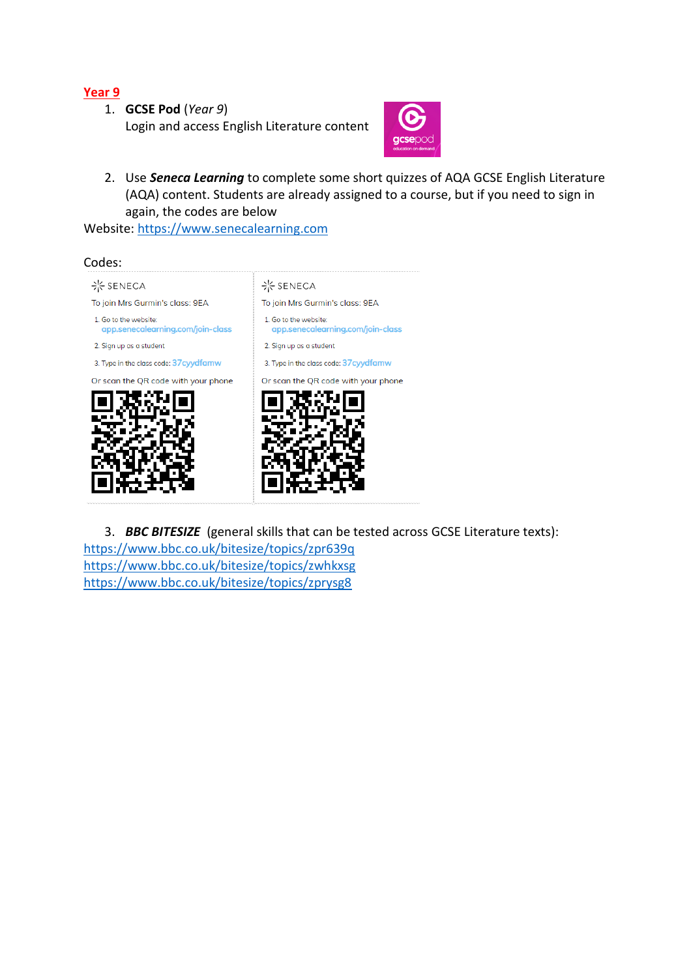1. **GCSE Pod** (*Year 9*) Login and access English Literature content



2. Use *Seneca Learning* to complete some short quizzes of AQA GCSE English Literature (AQA) content. Students are already assigned to a course, but if you need to sign in again, the codes are below

Website: [https://www.senecalearning.com](https://www.senecalearning.com/)



3. *BBC BITESIZE* (general skills that can be tested across GCSE Literature texts): <https://www.bbc.co.uk/bitesize/topics/zpr639q> <https://www.bbc.co.uk/bitesize/topics/zwhkxsg> <https://www.bbc.co.uk/bitesize/topics/zprysg8>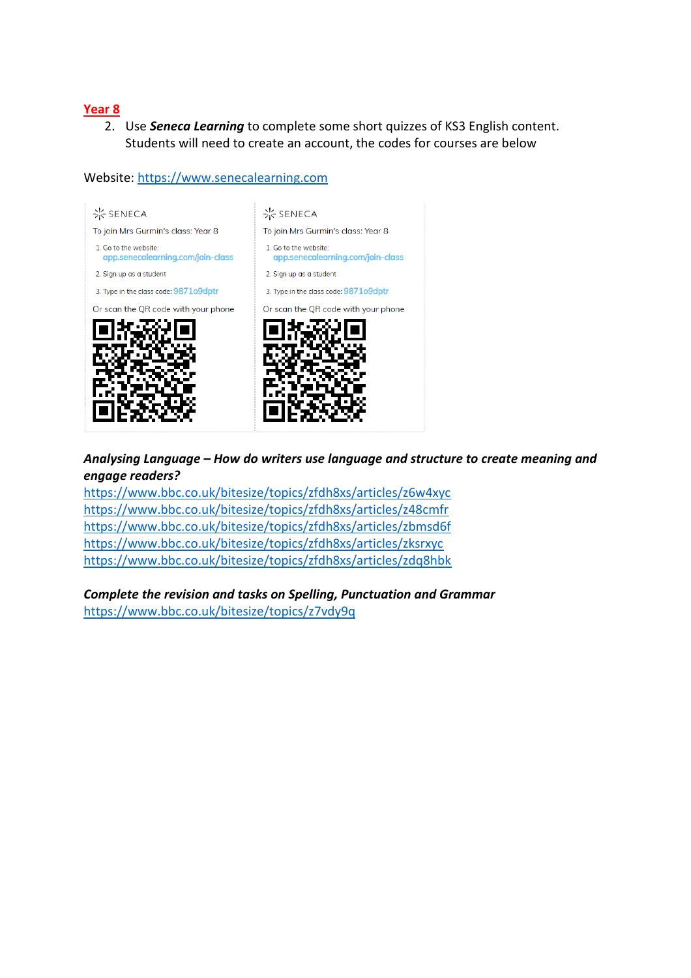2. Use *Seneca Learning* to complete some short quizzes of KS3 English content. Students will need to create an account, the codes for courses are below

## Website: [https://www.senecalearning.com](https://www.senecalearning.com/)



## *Analysing Language – How do writers use language and structure to create meaning and engage readers?*

<https://www.bbc.co.uk/bitesize/topics/zfdh8xs/articles/z6w4xyc> <https://www.bbc.co.uk/bitesize/topics/zfdh8xs/articles/z48cmfr> <https://www.bbc.co.uk/bitesize/topics/zfdh8xs/articles/zbmsd6f> <https://www.bbc.co.uk/bitesize/topics/zfdh8xs/articles/zksrxyc> <https://www.bbc.co.uk/bitesize/topics/zfdh8xs/articles/zdq8hbk>

*Complete the revision and tasks on Spelling, Punctuation and Grammar* <https://www.bbc.co.uk/bitesize/topics/z7vdy9q>